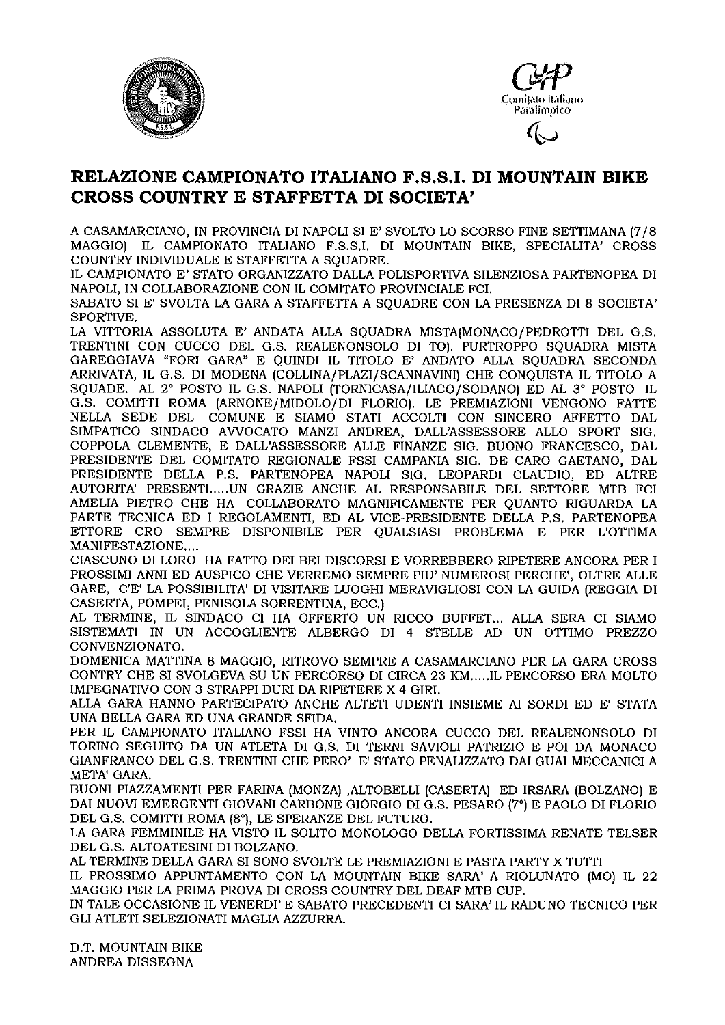



## RELAZIONE CAMPIONATO ITALIANO F.S.S.I. DI MOUNTAIN BIKE CROSS COUNTRY E STAFFETTA DI SOCIETA'

A CASAMARCIANO, IN PROVINCIA DI NAPOLI SI E' SVOLTO LO SCORSO FINE SETTIMANA (7/8 MAGGIOI IL CAMPIONATO ITALIANO F.S.S.I. DI MOUNTAIN BIKE, SPECIALITA' CROSS COUNTRY INDIVIDUALE E STAFFETTA A SQUADRE.

IL CAMPIONATO E' STATO ORGANIZZATO DALLA POLISPORTIVA SILENZIOSA PARTENOPEA DI NAPOLI, IN COLLABORAZIONE CON IL COMITATO PROVINCIALE FCI.

SABATO SI E' SVOLTA LA GARA A STAFFETTA A SOUADRE CON LA PRESENZA DI 8 SOCIETA' SPORTIVE.

LA VITTORIA ASSOLUTA E' ANDATA ALLA SOUADRA MISTA(MONACO/PEDROTTI DEL G.S. TRENTINI CON CUCCO DEL G.S. REALENONSOLO DI TO). PURTROPPO SQUADRA MISTA GAREGGIAVA "FORI GARA" E QUINDI IL TITOLO E' ANDATO ALLA SQUADRA SECONDA ARRIVATA, IL G.S. DI MODENA (COLLINA/PLAZI/SCANNAVINI) CHE CONQUISTA IL TITOLO A SQUADE. AL 2° POSTO IL G.S. NAPOLI (TORNICASA/ILIACO/SODANO) ED AL 3° POSTO IL G.S. COMITTI ROMA (ARNONE/MIDOLO/DI FLORIO). LE PREMIAZIONI VENGONO FATTE NELLA SEDE DEL COMUNE E SIAMO STATI ACCOLTI CON SINCERO AFFETTO DAL SIMPATICO SINDACO AVVOCATO MANZI ANDREA, DALL'ASSESSORE ALLO SPORT SIG. COPPOLA CLEMENTE, E DALL'ASSESSORE ALLE FINANZE SIG. BUONO FRANCESCO, DAL PRESIDENTE DEL COMITATO REGIONALE FSSI CAMPANIA SIG. DE CARO GAETANO, DAL PRESIDENTE DELLA P.S. PARTENOPEA NAPOLI SIG. LEOPARDI CLAUDIO, ED ALTRE AUTORITA' PRESENTI.....UN GRAZIE ANCHE AL RESPONSABILE DEL SETTORE MTB FCI AMELIA PIETRO CHE HA COLLABORATO MAGNIFICAMENTE PER QUANTO RIGUARDA LA PARTE TECNICA ED I REGOLAMENTI, ED AL VICE-PRESIDENTE DELLA P.S. PARTENOPEA ETTORE CRO SEMPRE DISPONIBILE PER QUALSIASI PROBLEMA E PER L'OTTIMA MANIFESTAZIONE....

CIASCUNO DI LORO HA FATTO DEI BEI DISCORSI E VORREBBERO RIPETERE ANCORA PER I PROSSIMI ANNI ED AUSPICO CHE VERREMO SEMPRE PIU' NUMEROSI PERCHE', OLTRE ALLE GARE, C'E' LA POSSIBILITA' DI VISITARE LUOGHI MERAVIGLIOSI CON LA GUIDA (REGGIA DI CASERTA, POMPEI, PENISOLA SORRENTINA, ECC.)

AL TERMINE, IL SINDACO CI HA OFFERTO UN RICCO BUFFET... ALLA SERA CI SIAMO SISTEMATI IN UN ACCOGLIENTE ALBERGO DI 4 STELLE AD UN OTTIMO PREZZO CONVENZIONATO.

DOMENICA MATTINA 8 MAGGIO, RITROVO SEMPRE A CASAMARCIANO PER LA GARA CROSS CONTRY CHE SI SVOLGEVA SU UN PERCORSO DI CIRCA 23 KM.....IL PERCORSO ERA MOLTO IMPEGNATIVO CON 3 STRAPPI DURI DA RIPETERE X 4 GIRI.

ALLA GARA HANNO PARTECIPATO ANCHE ALTETI UDENTI INSIEME AI SORDI ED E' STATA UNA BELLA GARA ED UNA GRANDE SFIDA.

PER IL CAMPIONATO ITALIANO FSSI HA VINTO ANCORA CUCCO DEL REALENONSOLO DI TORINO SEGUITO DA UN ATLETA DI G.S. DI TERNI SAVIOLI PATRIZIO E POI DA MONACO GIANFRANCO DEL G.S. TRENTINI CHE PERO' E' STATO PENALIZZATO DAI GUAI MECCANICI A META' GARA.

BUONI PIAZZAMENTI PER FARINA (MONZA) ,ALTOBELLI (CASERTA) ED IRSARA (BOLZANO) E DAI NUOVI EMERGENTI GIOVANI CARBONE GIORGIO DI G.S. PESARO (7<sup>°</sup>) E PAOLO DI FLORIO DEL G.S. COMITTI ROMA (8°), LE SPERANZE DEL FUTURO.

LA GARA FEMMINILE HA VISTO IL SOLITO MONOLOGO DELLA FORTISSIMA RENATE TELSER DEL G.S. ALTOATESINI DI BOLZANO.

AL TERMINE DELLA GARA SI SONO SVOLTE LE PREMIAZIONI E PASTA PARTY X TUTTI

IL PROSSIMO APPUNTAMENTO CON LA MOUNTAIN BIKE SARA' A RIOLUNATO (MO) IL 22 MAGGIO PER LA PRIMA PROVA DI CROSS COUNTRY DEL DEAF MTB CUP.

IN TALE OCCASIONE IL VENERDI' E SABATO PRECEDENTI CI SARA' IL RADUNO TECNICO PER GLI ATLETI SELEZIONATI MAGLIA AZZURRA.

D.T. MOUNTAIN BIKE ANDREA DISSEGNA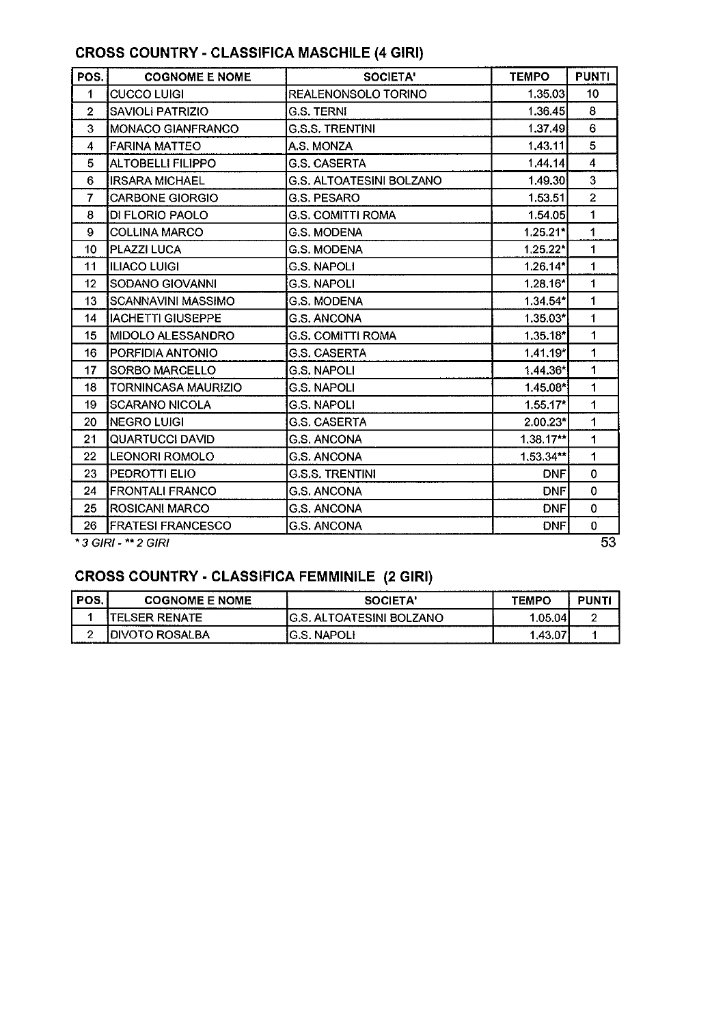## CROSS COUNTRY - CLASSIFICA MASCHILE (4 GIRI)

| POS.                       | <b>COGNOME E NOME</b>      | SOCIETA'                 | <b>TEMPO</b> | <b>PUNTI</b>    |  |
|----------------------------|----------------------------|--------------------------|--------------|-----------------|--|
| 1                          | <b>CUCCO LUIGI</b>         | REALENONSOLO TORINO      | 1.35.03      | 10 <sup>1</sup> |  |
| $\overline{2}$             | <b>SAVIOLI PATRIZIO</b>    | <b>G.S. TERNI</b>        | 1.36.45      | 8               |  |
| 3                          | <b>MONACO GIANFRANCO</b>   | <b>G.S.S. TRENTINI</b>   | 1.37.49      | 6               |  |
| 4                          | <b>FARINA MATTEO</b>       | A.S. MONZA               | 1,43,11      | 5               |  |
| 5                          | ALTOBELLI FILIPPO          | <b>G.S. CASERTA</b>      | 144.14       | $\overline{4}$  |  |
| 6                          | <b>IRSARA MICHAEL</b>      | G.S. ALTOATESINI BOLZANO | 1.49.30      | 3               |  |
| $\overline{7}$             | <b>CARBONE GIORGIO</b>     | <b>G.S. PESARO</b>       | 1.53.51      | $\overline{2}$  |  |
| 8                          | DI FLORIO PAOLO            | <b>G.S. COMITTI ROMA</b> | 1.54.05      | $\mathbf 1$     |  |
| 9                          | <b>COLLINA MARCO</b>       | <b>G.S. MODENA</b>       | $1.25.21*$   | 1               |  |
| 10                         | PLAZZI LUCA                | <b>G.S. MODENA</b>       | 1,25.22*     | $\mathbf 1$     |  |
| 11                         | ILIACO LUIGI               | <b>G.S. NAPOLI</b>       | 1.26.14*     | 1               |  |
| 12                         | SODANO GIOVANNI            | <b>G.S. NAPOLI</b>       | 1.28.16*     | 1               |  |
| 13                         | SCANNAVINI MASSIMO         | G.S. MODENA              | $1.34.54*$   | 1               |  |
| 14                         | <b>IACHETTI GIUSEPPE</b>   | G.S. ANCONA              | 1.35.03*     | 1               |  |
| 15                         | MIDOLO ALESSANDRO          | G.S. COMITTI ROMA        | $1.35.18*$   | $\mathbf{1}$    |  |
| 16                         | PORFIDIA ANTONIO           | <b>G.S. CASERTA</b>      | 1.41.19*     | 1               |  |
| 17                         | SORBO MARCELLO             | G.S. NAPOLI              | $1,44.36*$   | 1               |  |
| 18                         | <b>TORNINCASA MAURIZIO</b> | <b>G.S. NAPOLI</b>       | 1.45.08*     | 1               |  |
| 19                         | <b>SCARANO NICOLA</b>      | <b>G.S. NAPOLI</b>       | $1.55.17*$   | 1               |  |
| 20                         | <b>NEGRO LUIGI</b>         | G.S. CASERTA             | 2.00.23*     | 1               |  |
| 21                         | <b>QUARTUCCI DAVID</b>     | <b>G.S. ANCONA</b>       | $1,38,17**$  | 1               |  |
| 22                         | <b>LEONORI ROMOLO</b>      | <b>G.S. ANCONA</b>       | $1.53.34**$  | 1               |  |
| 23                         | PEDROTTI ELIO              | G.S.S. TRENTINI          | <b>DNF</b>   | $\mathbf 0$     |  |
| 24                         | <b>FRONTALI FRANCO</b>     | <b>G.S. ANCONA</b>       | <b>DNF</b>   | $\mathbf 0$     |  |
| 25                         | <b>ROSICANI MARCO</b>      | <b>G.S. ANCONA</b>       | <b>DNF</b>   | $\mathbf 0$     |  |
| 26                         | <b>FRATESI FRANCESCO</b>   | <b>G.S. ANCONA</b>       | <b>DNF</b>   | $\bf{0}$        |  |
| 53<br>* 3 GIRI - ** 2 GIRI |                            |                          |              |                 |  |

## CROSS COUNTRY - CLASSIFICA FEMMINILE (2 GIRI)

| POS. | <b>COGNOME E NOME</b>  | SOCIETA'                       | TEMPO   | PUNT |
|------|------------------------|--------------------------------|---------|------|
|      | 'TELSER RENATE         | ALTOATESINI BOLZANO<br>'G.S. . | 1.05.04 |      |
|      | <b>IDIVOTO ROSALBA</b> | IG.S. NAPOLI                   | 1.43.07 |      |

53